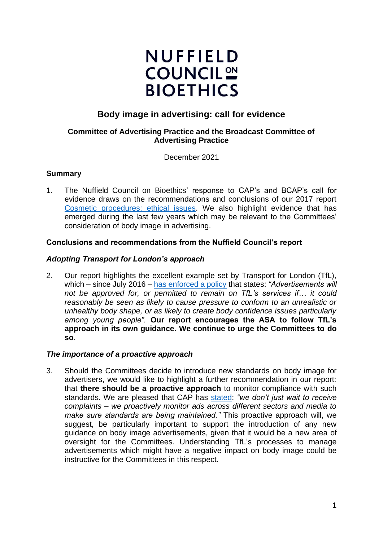# **NUFFIELD COUNCIL<sup>ON</sup> BIOETHICS**

# **Body image in advertising: call for evidence**

# **Committee of Advertising Practice and the Broadcast Committee of Advertising Practice**

December 2021

# **Summary**

1. The Nuffield Council on Bioethics' response to CAP's and BCAP's call for evidence draws on the recommendations and conclusions of our 2017 report [Cosmetic procedures: ethical issues.](https://www.nuffieldbioethics.org/topics/health-and-society/cosmetic-procedures) We also highlight evidence that has emerged during the last few years which may be relevant to the Committees' consideration of body image in advertising.

# **Conclusions and recommendations from the Nuffield Council's report**

#### *Adopting Transport for London's approach*

2. Our report highlights the excellent example set by Transport for London (TfL), which – since July 2016 – [has enforced a policy](https://www.london.gov.uk/press-releases/mayoral/mayor-in-crackdown-on-body-image-advertisements) that states: *"Advertisements will not be approved for, or permitted to remain on TfL's services if… it could reasonably be seen as likely to cause pressure to conform to an unrealistic or unhealthy body shape, or as likely to create body confidence issues particularly among young people".* **Our report encourages the ASA to follow TfL's approach in its own guidance. We continue to urge the Committees to do so**.

#### *The importance of a proactive approach*

3. Should the Committees decide to introduce new standards on body image for advertisers, we would like to highlight a further recommendation in our report: that **there should be a proactive approach** to monitor compliance with such standards. We are pleased that CAP has [stated:](https://www.asa.org.uk/about-asa-and-cap/the-work-we-do/our-proactive-work.html) *"we don't just wait to receive complaints – we proactively monitor ads across different sectors and media to make sure standards are being maintained."* This proactive approach will, we suggest, be particularly important to support the introduction of any new guidance on body image advertisements, given that it would be a new area of oversight for the Committees. Understanding TfL's processes to manage advertisements which might have a negative impact on body image could be instructive for the Committees in this respect.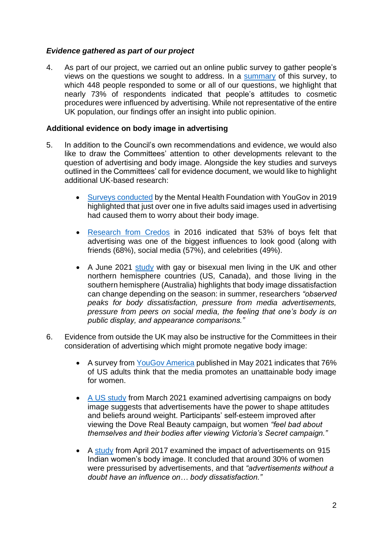# *Evidence gathered as part of our project*

4. As part of our project, we carried out an online public survey to gather people's views on the questions we sought to address. In a [summary](https://www.nuffieldbioethics.org/assets/pdfs/CP-Survey-Monkey-Questionnaire-analysis.pdf) of this survey, to which 448 people responded to some or all of our questions, we highlight that nearly 73% of respondents indicated that people's attitudes to cosmetic procedures were influenced by advertising. While not representative of the entire UK population, our findings offer an insight into public opinion.

# **Additional evidence on body image in advertising**

- 5. In addition to the Council's own recommendations and evidence, we would also like to draw the Committees' attention to other developments relevant to the question of advertising and body image. Alongside the key studies and surveys outlined in the Committees' call for evidence document, we would like to highlight additional UK-based research:
	- [Surveys conducted](https://www.mentalhealth.org.uk/publications/body-image-report/exec-summary) by the Mental Health Foundation with YouGov in 2019 highlighted that just over one in five adults said images used in advertising had caused them to worry about their body image.
	- Research [from Credos](https://www.bbc.co.uk/news/education-37010205) in 2016 indicated that 53% of boys felt that advertising was one of the biggest influences to look good (along with friends (68%), social media (57%), and celebrities (49%).
	- A June 2021 [study](https://www.sciencedirect.com/science/article/pii/S1740144521000383) with gay or bisexual men living in the UK and other northern hemisphere countries (US, Canada), and those living in the southern hemisphere (Australia) highlights that body image dissatisfaction can change depending on the season: in summer, researchers *"observed peaks for body dissatisfaction, pressure from media advertisements, pressure from peers on social media, the feeling that one's body is on public display, and appearance comparisons."*
- 6. Evidence from outside the UK may also be instructive for the Committees in their consideration of advertising which might promote negative body image:
	- A survey from [YouGov America](https://today.yougov.com/topics/lifestyle/articles-reports/2021/05/26/body-image-media-fashion-poll-data) published in May 2021 indicates that 76% of US adults think that the media promotes an unattainable body image for women.
	- [A US study](https://www.sciencedirect.com/science/article/pii/S1740144520304198) from March 2021 examined advertising campaigns on body image suggests that advertisements have the power to shape attitudes and beliefs around weight. Participants' self-esteem improved after viewing the Dove Real Beauty campaign, but women *"feel bad about themselves and their bodies after viewing Victoria's Secret campaign."*
	- A [study](https://www.indianjournals.com/ijor.aspx?target=ijor:mcomm&volume=11&issue=1&article=006) from April 2017 examined the impact of advertisements on 915 Indian women's body image. It concluded that around 30% of women were pressurised by advertisements, and that *"advertisements without a doubt have an influence on… body dissatisfaction."*